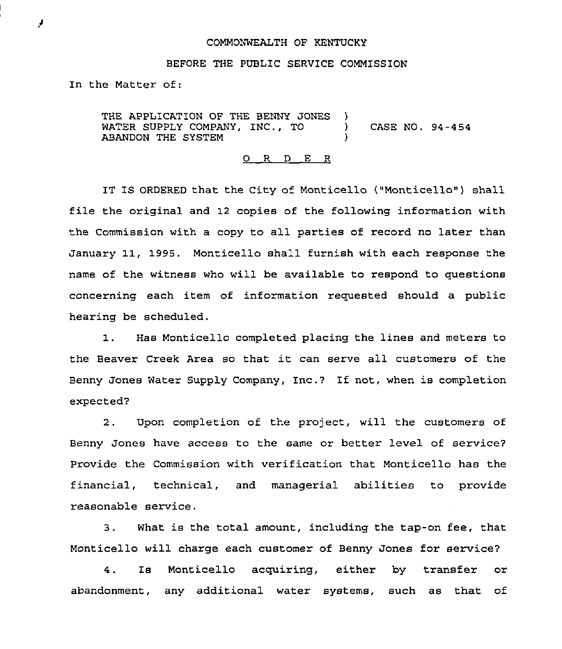## COMMONWEALTH OF KENTUCKY

## BEFORE THE PUBLIC SERVICE COMMISSION

In the Matter of:

THE APPLICATION OF THE BENNY JONES )<br>WATER SUPPLY COMPANY, INC., TO WATER SUPPLY COMPANY, INC., TO (ASE NO. 94-454) ABANDON THE SYSTEM )

## 0 R <sup>D</sup> E R

IT IS ORDERED that the City of Monticello ("Monticello") shall file the original and 12 copies of the following information with the Commission with a copy to ail parties of record no later than January 11, 1995. Monticello shall furnish with each response the name of the witness who will be available to respond to questions concerning each item of information requested should a public hearing be scheduled.

1. Has Monticello completed placing the lines and meters to the Beaver Creek Area so that it can serve all customers of the Benny Jones Water Supply Company, Inc.? If not, when is completion expected?

2. Upon completion of the project, will the customers of Benny Jones have access to the same or better level of service7 Provide the Commission with verification that Monticello has the financial, technical, and managerial abilities to provide reasonable service.

3. What is the total amount, including the tap-on fee, that Monticello will charge each customer of Benny Jones for service?

4. Is Monticello acquiring, either by transfer or abandonment, any additional water systems, such as that of

۶